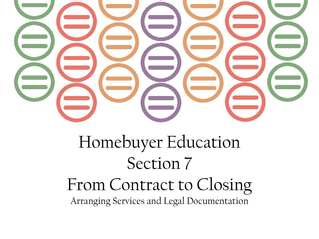

# Homebuyer Education Section 7 From Contract to Closing Arranging Services and Legal Documentation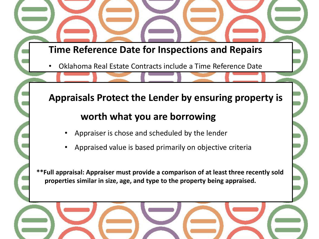#### **Time Reference Date for Inspections and Repairs**

• Oklahoma Real Estate Contracts include a Time Reference Date

## **Appraisals Protect the Lender by ensuring property is worth what you are borrowing**

- Appraiser is chose and scheduled by the lender
- Appraised value is based primarily on objective criteria

**\*\*Full appraisal: Appraiser must provide a comparison of at least three recently sold properties similar in size, age, and type to the property being appraised.**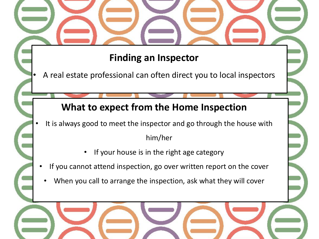## **Finding an Inspector**

• A real estate professional can often direct you to local inspectors

### **What to expect from the Home Inspection**

- It is always good to meet the inspector and go through the house with him/her
	- If your house is in the right age category
	- If you cannot attend inspection, go over written report on the cover
	- When you call to arrange the inspection, ask what they will cover

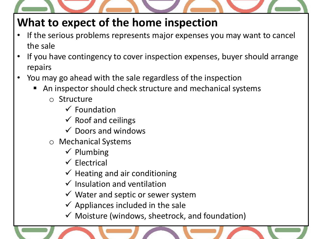

## **What to expect of the home inspection**

- If the serious problems represents major expenses you may want to cancel the sale
- If you have contingency to cover inspection expenses, buyer should arrange repairs
- You may go ahead with the sale regardless of the inspection
	- An inspector should check structure and mechanical systems
		- o Structure
			- $\checkmark$  Foundation
			- $\checkmark$  Roof and ceilings
			- $\checkmark$  Doors and windows
		- o Mechanical Systems
			- $\checkmark$  Plumbing
			- $\checkmark$  Electrical
			- $\checkmark$  Heating and air conditioning
			- $\checkmark$  Insulation and ventilation
			- $\checkmark$  Water and septic or sewer system
			- $\checkmark$  Appliances included in the sale
			- $\checkmark$  Moisture (windows, sheetrock, and foundation)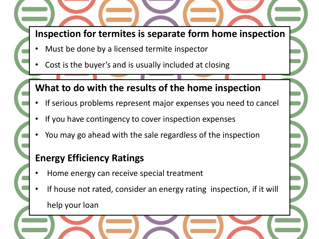### **Inspection for termites is separate form home inspection**

- Must be done by a licensed termite inspector
- Cost is the buyer's and is usually included at closing

## **What to do with the results of the home inspection**

- If serious problems represent major expenses you need to cancel
- If you have contingency to cover inspection expenses
- You may go ahead with the sale regardless of the inspection

## **Energy Efficiency Ratings**

- Home energy can receive special treatment
- If house not rated, consider an energy rating inspection, if it will help your loan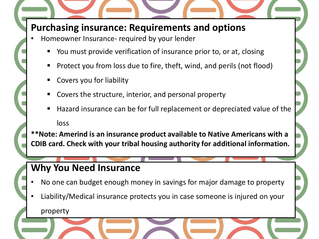#### **Purchasing insurance: Requirements and options**

- Homeowner Insurance- required by your lender
	- You must provide verification of insurance prior to, or at, closing
	- Protect you from loss due to fire, theft, wind, and perils (not flood)
	- Covers you for liability
	- Covers the structure, interior, and personal property
	- Hazard insurance can be for full replacement or depreciated value of the loss

**\*\*Note: Amerind is an insurance product available to Native Americans with a CDIB card. Check with your tribal housing authority for additional information.**

## **Why You Need Insurance**

- No one can budget enough money in savings for major damage to property
- Liability/Medical insurance protects you in case someone is injured on your

property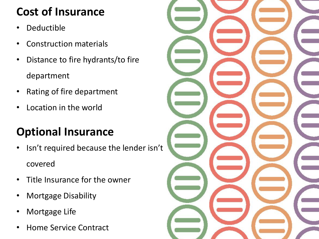## **Cost of Insurance**

- **Deductible**
- Construction materials
- Distance to fire hydrants/to fire department
- Rating of fire department
- Location in the world

## **Optional Insurance**

- Isn't required because the lender isn't covered
- Title Insurance for the owner
- Mortgage Disability
- Mortgage Life
- Home Service Contract

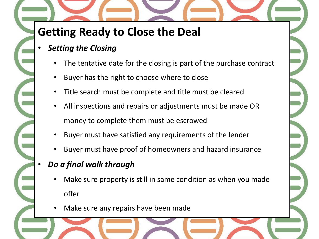## **Getting Ready to Close the Deal**

- *Setting the Closing*
	- The tentative date for the closing is part of the purchase contract
	- Buyer has the right to choose where to close
	- Title search must be complete and title must be cleared
	- All inspections and repairs or adjustments must be made OR money to complete them must be escrowed
	- Buyer must have satisfied any requirements of the lender
	- Buyer must have proof of homeowners and hazard insurance

#### • *Do a final walk through*

- Make sure property is still in same condition as when you made offer
- Make sure any repairs have been made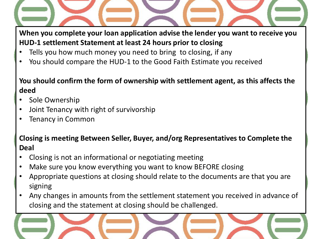**When you complete your loan application advise the lender you want to receive you HUD-1 settlement Statement at least 24 hours prior to closing**

- Tells you how much money you need to bring to closing, if any
- You should compare the HUD-1 to the Good Faith Estimate you received

#### **You should confirm the form of ownership with settlement agent, as this affects the deed**

- Sole Ownership
- Joint Tenancy with right of survivorship
- Tenancy in Common

#### **Closing is meeting Between Seller, Buyer, and/org Representatives to Complete the Deal**

- Closing is not an informational or negotiating meeting
- Make sure you know everything you want to know BEFORE closing
- Appropriate questions at closing should relate to the documents are that you are signing
- Any changes in amounts from the settlement statement you received in advance of closing and the statement at closing should be challenged.

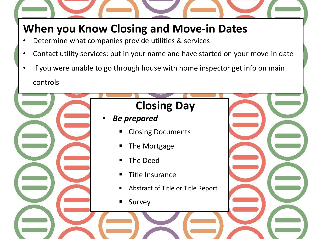## **When you Know Closing and Move-in Dates**

- Determine what companies provide utilities & services
- Contact utility services: put in your name and have started on your move-in date
- If you were unable to go through house with home inspector get info on main controls

# **Closing Day** • *Be prepared* Closing Documents The Mortgage The Deed Title Insurance Abstract of Title or Title Report Survey